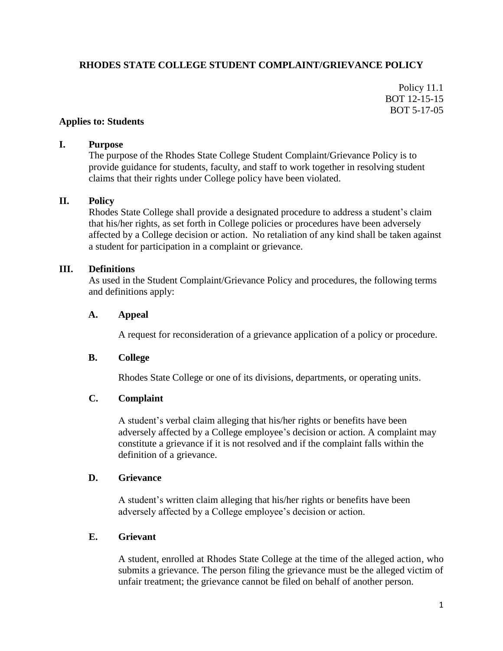# **RHODES STATE COLLEGE STUDENT COMPLAINT/GRIEVANCE POLICY**

Policy 11.1 BOT 12-15-15 BOT 5-17-05

#### **Applies to: Students**

#### **I. Purpose**

The purpose of the Rhodes State College Student Complaint/Grievance Policy is to provide guidance for students, faculty, and staff to work together in resolving student claims that their rights under College policy have been violated.

#### **II. Policy**

Rhodes State College shall provide a designated procedure to address a student's claim that his/her rights, as set forth in College policies or procedures have been adversely affected by a College decision or action. No retaliation of any kind shall be taken against a student for participation in a complaint or grievance.

#### **III. Definitions**

As used in the Student Complaint/Grievance Policy and procedures, the following terms and definitions apply:

#### **A. Appeal**

A request for reconsideration of a grievance application of a policy or procedure.

#### **B. College**

Rhodes State College or one of its divisions, departments, or operating units.

#### **C. Complaint**

A student's verbal claim alleging that his/her rights or benefits have been adversely affected by a College employee's decision or action. A complaint may constitute a grievance if it is not resolved and if the complaint falls within the definition of a grievance.

#### **D. Grievance**

A student's written claim alleging that his/her rights or benefits have been adversely affected by a College employee's decision or action.

#### **E. Grievant**

A student, enrolled at Rhodes State College at the time of the alleged action, who submits a grievance. The person filing the grievance must be the alleged victim of unfair treatment; the grievance cannot be filed on behalf of another person.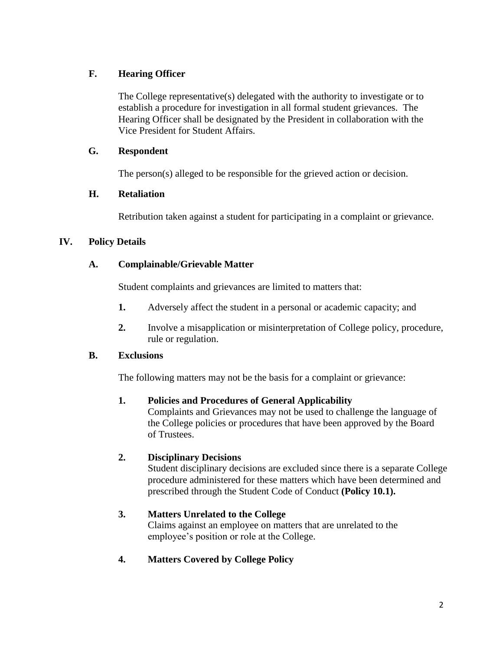# **F. Hearing Officer**

The College representative(s) delegated with the authority to investigate or to establish a procedure for investigation in all formal student grievances. The Hearing Officer shall be designated by the President in collaboration with the Vice President for Student Affairs.

# **G. Respondent**

The person(s) alleged to be responsible for the grieved action or decision.

# **H. Retaliation**

Retribution taken against a student for participating in a complaint or grievance.

# **IV. Policy Details**

# **A. Complainable/Grievable Matter**

Student complaints and grievances are limited to matters that:

- **1.** Adversely affect the student in a personal or academic capacity; and
- **2.** Involve a misapplication or misinterpretation of College policy, procedure, rule or regulation.

# **B. Exclusions**

The following matters may not be the basis for a complaint or grievance:

# **1. Policies and Procedures of General Applicability**

Complaints and Grievances may not be used to challenge the language of the College policies or procedures that have been approved by the Board of Trustees.

# **2. Disciplinary Decisions**

Student disciplinary decisions are excluded since there is a separate College procedure administered for these matters which have been determined and prescribed through the Student Code of Conduct **(Policy 10.1).**

# **3. Matters Unrelated to the College**

Claims against an employee on matters that are unrelated to the employee's position or role at the College.

# **4. Matters Covered by College Policy**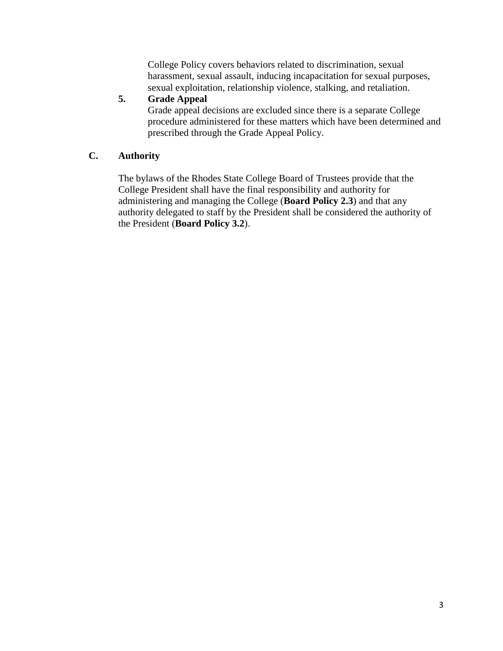College Policy covers behaviors related to discrimination, sexual harassment, sexual assault, inducing incapacitation for sexual purposes, sexual exploitation, relationship violence, stalking, and retaliation.

# **5. Grade Appeal**

Grade appeal decisions are excluded since there is a separate College procedure administered for these matters which have been determined and prescribed through the Grade Appeal Policy.

# **C. Authority**

The bylaws of the Rhodes State College Board of Trustees provide that the College President shall have the final responsibility and authority for administering and managing the College (**Board Policy 2.3**) and that any authority delegated to staff by the President shall be considered the authority of the President (**Board Policy 3.2**).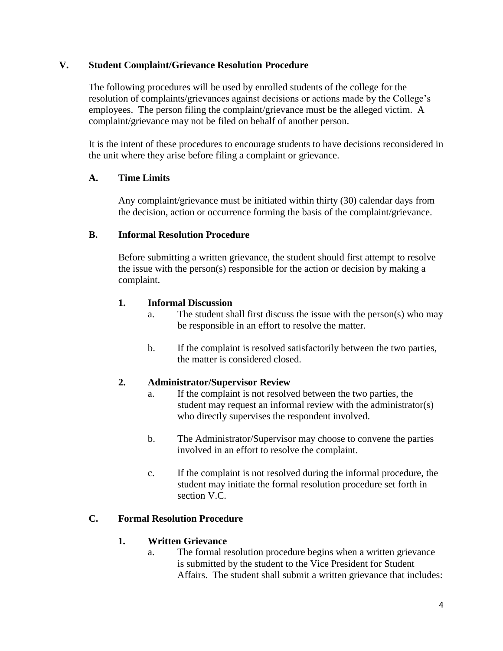### **V. Student Complaint/Grievance Resolution Procedure**

The following procedures will be used by enrolled students of the college for the resolution of complaints/grievances against decisions or actions made by the College's employees. The person filing the complaint/grievance must be the alleged victim. A complaint/grievance may not be filed on behalf of another person.

It is the intent of these procedures to encourage students to have decisions reconsidered in the unit where they arise before filing a complaint or grievance.

# **A. Time Limits**

Any complaint/grievance must be initiated within thirty (30) calendar days from the decision, action or occurrence forming the basis of the complaint/grievance.

### **B. Informal Resolution Procedure**

Before submitting a written grievance, the student should first attempt to resolve the issue with the person(s) responsible for the action or decision by making a complaint.

### **1. Informal Discussion**

- a. The student shall first discuss the issue with the person(s) who may be responsible in an effort to resolve the matter.
- b. If the complaint is resolved satisfactorily between the two parties, the matter is considered closed.

# **2. Administrator/Supervisor Review**

- a. If the complaint is not resolved between the two parties, the student may request an informal review with the administrator(s) who directly supervises the respondent involved.
- b. The Administrator/Supervisor may choose to convene the parties involved in an effort to resolve the complaint.
- c. If the complaint is not resolved during the informal procedure, the student may initiate the formal resolution procedure set forth in section V.C.

# **C. Formal Resolution Procedure**

#### **1. Written Grievance**

a. The formal resolution procedure begins when a written grievance is submitted by the student to the Vice President for Student Affairs. The student shall submit a written grievance that includes: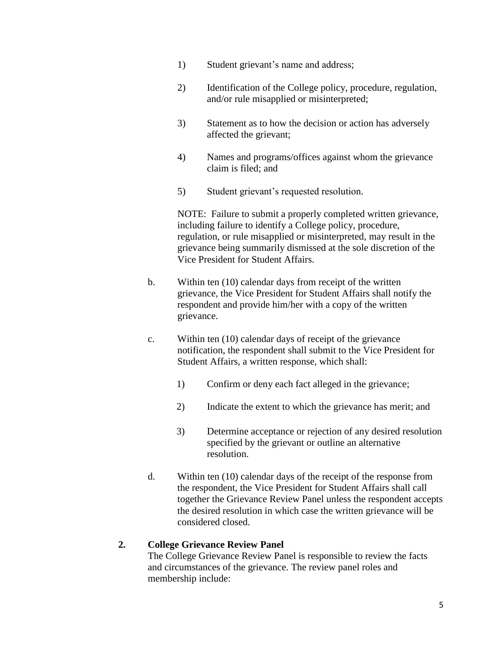- 1) Student grievant's name and address;
- 2) Identification of the College policy, procedure, regulation, and/or rule misapplied or misinterpreted;
- 3) Statement as to how the decision or action has adversely affected the grievant;
- 4) Names and programs/offices against whom the grievance claim is filed; and
- 5) Student grievant's requested resolution.

NOTE: Failure to submit a properly completed written grievance, including failure to identify a College policy, procedure, regulation, or rule misapplied or misinterpreted, may result in the grievance being summarily dismissed at the sole discretion of the Vice President for Student Affairs.

- b. Within ten (10) calendar days from receipt of the written grievance, the Vice President for Student Affairs shall notify the respondent and provide him/her with a copy of the written grievance.
- c. Within ten (10) calendar days of receipt of the grievance notification, the respondent shall submit to the Vice President for Student Affairs, a written response, which shall:
	- 1) Confirm or deny each fact alleged in the grievance;
	- 2) Indicate the extent to which the grievance has merit; and
	- 3) Determine acceptance or rejection of any desired resolution specified by the grievant or outline an alternative resolution.
- d. Within ten (10) calendar days of the receipt of the response from the respondent, the Vice President for Student Affairs shall call together the Grievance Review Panel unless the respondent accepts the desired resolution in which case the written grievance will be considered closed.

#### **2. College Grievance Review Panel**

The College Grievance Review Panel is responsible to review the facts and circumstances of the grievance. The review panel roles and membership include: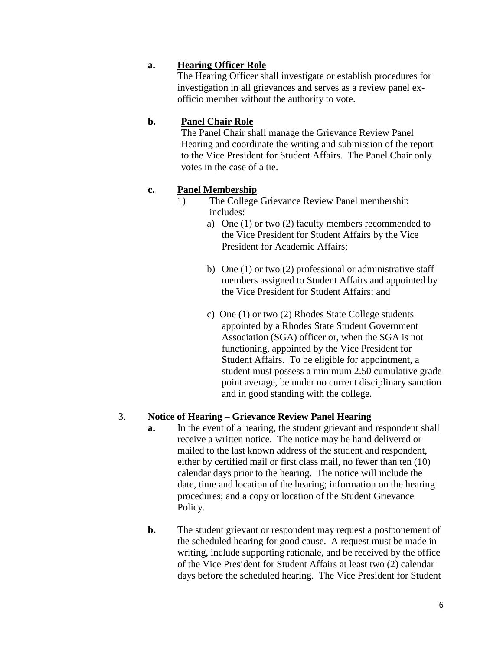### **a. Hearing Officer Role**

The Hearing Officer shall investigate or establish procedures for investigation in all grievances and serves as a review panel exofficio member without the authority to vote.

### **b. Panel Chair Role**

The Panel Chair shall manage the Grievance Review Panel Hearing and coordinate the writing and submission of the report to the Vice President for Student Affairs. The Panel Chair only votes in the case of a tie.

#### **c. Panel Membership**

- 1) The College Grievance Review Panel membership includes:
	- a) One (1) or two (2) faculty members recommended to the Vice President for Student Affairs by the Vice President for Academic Affairs;
	- b) One (1) or two (2) professional or administrative staff members assigned to Student Affairs and appointed by the Vice President for Student Affairs; and
	- c) One (1) or two (2) Rhodes State College students appointed by a Rhodes State Student Government Association (SGA) officer or, when the SGA is not functioning, appointed by the Vice President for Student Affairs. To be eligible for appointment, a student must possess a minimum 2.50 cumulative grade point average, be under no current disciplinary sanction and in good standing with the college.

#### 3. **Notice of Hearing – Grievance Review Panel Hearing**

- **a.** In the event of a hearing, the student grievant and respondent shall receive a written notice. The notice may be hand delivered or mailed to the last known address of the student and respondent, either by certified mail or first class mail, no fewer than ten (10) calendar days prior to the hearing. The notice will include the date, time and location of the hearing; information on the hearing procedures; and a copy or location of the Student Grievance Policy.
- **b.** The student grievant or respondent may request a postponement of the scheduled hearing for good cause. A request must be made in writing, include supporting rationale, and be received by the office of the Vice President for Student Affairs at least two (2) calendar days before the scheduled hearing. The Vice President for Student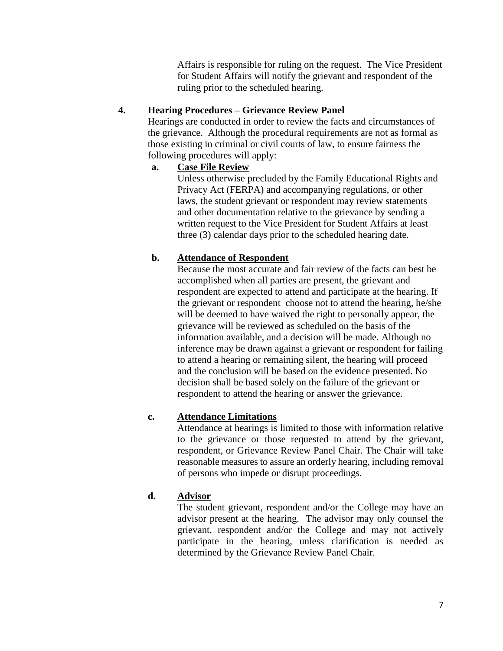Affairs is responsible for ruling on the request. The Vice President for Student Affairs will notify the grievant and respondent of the ruling prior to the scheduled hearing.

# **4. Hearing Procedures – Grievance Review Panel**

Hearings are conducted in order to review the facts and circumstances of the grievance. Although the procedural requirements are not as formal as those existing in criminal or civil courts of law, to ensure fairness the following procedures will apply:

# **a. Case File Review**

Unless otherwise precluded by the Family Educational Rights and Privacy Act (FERPA) and accompanying regulations, or other laws, the student grievant or respondent may review statements and other documentation relative to the grievance by sending a written request to the Vice President for Student Affairs at least three (3) calendar days prior to the scheduled hearing date.

# **b. Attendance of Respondent**

Because the most accurate and fair review of the facts can best be accomplished when all parties are present, the grievant and respondent are expected to attend and participate at the hearing. If the grievant or respondent choose not to attend the hearing, he/she will be deemed to have waived the right to personally appear, the grievance will be reviewed as scheduled on the basis of the information available, and a decision will be made. Although no inference may be drawn against a grievant or respondent for failing to attend a hearing or remaining silent, the hearing will proceed and the conclusion will be based on the evidence presented. No decision shall be based solely on the failure of the grievant or respondent to attend the hearing or answer the grievance.

# **c. Attendance Limitations**

Attendance at hearings is limited to those with information relative to the grievance or those requested to attend by the grievant, respondent, or Grievance Review Panel Chair. The Chair will take reasonable measures to assure an orderly hearing, including removal of persons who impede or disrupt proceedings.

# **d. Advisor**

The student grievant, respondent and/or the College may have an advisor present at the hearing. The advisor may only counsel the grievant, respondent and/or the College and may not actively participate in the hearing, unless clarification is needed as determined by the Grievance Review Panel Chair.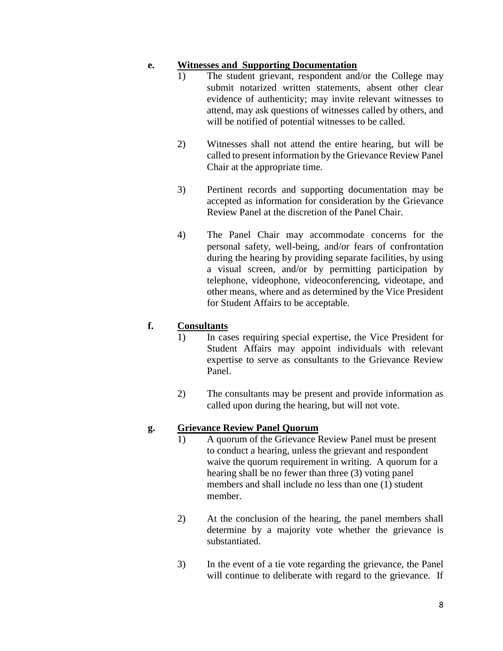### **e. Witnesses and Supporting Documentation**

- 1) The student grievant, respondent and/or the College may submit notarized written statements, absent other clear evidence of authenticity; may invite relevant witnesses to attend, may ask questions of witnesses called by others, and will be notified of potential witnesses to be called.
- 2) Witnesses shall not attend the entire hearing, but will be called to present information by the Grievance Review Panel Chair at the appropriate time.
- 3) Pertinent records and supporting documentation may be accepted as information for consideration by the Grievance Review Panel at the discretion of the Panel Chair.
- 4) The Panel Chair may accommodate concerns for the personal safety, well-being, and/or fears of confrontation during the hearing by providing separate facilities, by using a visual screen, and/or by permitting participation by telephone, videophone, videoconferencing, videotape, and other means, where and as determined by the Vice President for Student Affairs to be acceptable.

# **f. Consultants**

- 1) In cases requiring special expertise, the Vice President for Student Affairs may appoint individuals with relevant expertise to serve as consultants to the Grievance Review Panel.
- 2) The consultants may be present and provide information as called upon during the hearing, but will not vote.

#### **g. Grievance Review Panel Quorum**

- 1) A quorum of the Grievance Review Panel must be present to conduct a hearing, unless the grievant and respondent waive the quorum requirement in writing. A quorum for a hearing shall be no fewer than three (3) voting panel members and shall include no less than one (1) student member.
- 2) At the conclusion of the hearing, the panel members shall determine by a majority vote whether the grievance is substantiated.
- 3) In the event of a tie vote regarding the grievance, the Panel will continue to deliberate with regard to the grievance. If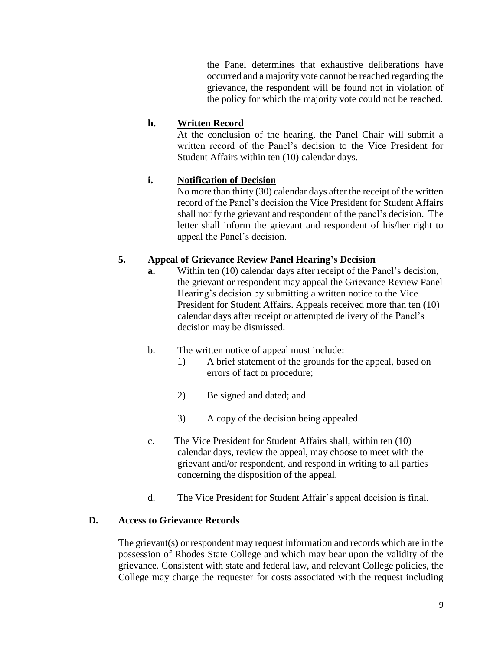the Panel determines that exhaustive deliberations have occurred and a majority vote cannot be reached regarding the grievance, the respondent will be found not in violation of the policy for which the majority vote could not be reached.

### **h. Written Record**

At the conclusion of the hearing, the Panel Chair will submit a written record of the Panel's decision to the Vice President for Student Affairs within ten (10) calendar days.

# **i. Notification of Decision**

No more than thirty (30) calendar days after the receipt of the written record of the Panel's decision the Vice President for Student Affairs shall notify the grievant and respondent of the panel's decision. The letter shall inform the grievant and respondent of his/her right to appeal the Panel's decision.

# **5. Appeal of Grievance Review Panel Hearing's Decision**

- **a.** Within ten (10) calendar days after receipt of the Panel's decision, the grievant or respondent may appeal the Grievance Review Panel Hearing's decision by submitting a written notice to the Vice President for Student Affairs. Appeals received more than ten (10) calendar days after receipt or attempted delivery of the Panel's decision may be dismissed.
- b. The written notice of appeal must include:
	- 1) A brief statement of the grounds for the appeal, based on errors of fact or procedure;
	- 2) Be signed and dated; and
	- 3) A copy of the decision being appealed.
- c. The Vice President for Student Affairs shall, within ten (10) calendar days, review the appeal, may choose to meet with the grievant and/or respondent, and respond in writing to all parties concerning the disposition of the appeal.
- d. The Vice President for Student Affair's appeal decision is final.

# **D. Access to Grievance Records**

The grievant(s) or respondent may request information and records which are in the possession of Rhodes State College and which may bear upon the validity of the grievance. Consistent with state and federal law, and relevant College policies, the College may charge the requester for costs associated with the request including